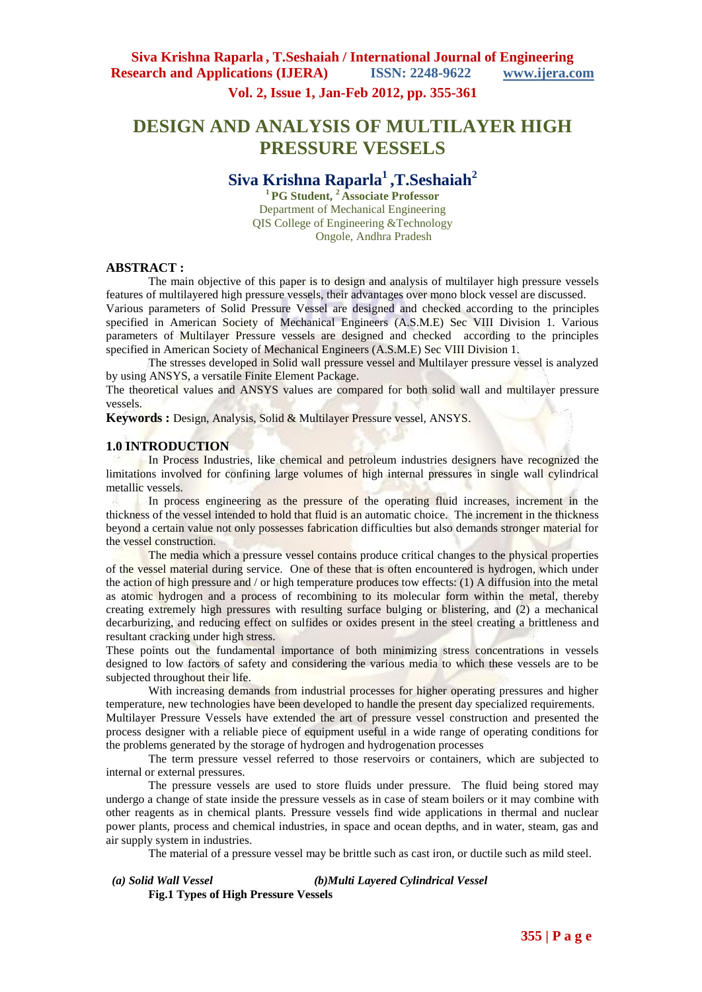**Vol. 2, Issue 1, Jan-Feb 2012, pp. 355-361**

# **DESIGN AND ANALYSIS OF MULTILAYER HIGH PRESSURE VESSELS**

## **Siva Krishna Raparla<sup>1</sup>,T.Seshaiah<sup>2</sup>**

**<sup>1</sup>PG Student, <sup>2</sup>Associate Professor** Department of Mechanical Engineering QIS College of Engineering &Technology Ongole, Andhra Pradesh

#### **ABSTRACT :**

The main objective of this paper is to design and analysis of multilayer high pressure vessels features of multilayered high pressure vessels, their advantages over mono block vessel are discussed. Various parameters of Solid Pressure Vessel are designed and checked according to the principles specified in American Society of Mechanical Engineers (A.S.M.E) Sec VIII Division 1. Various parameters of Multilayer Pressure vessels are designed and checked according to the principles specified in American Society of Mechanical Engineers (A.S.M.E) Sec VIII Division 1.

The stresses developed in Solid wall pressure vessel and Multilayer pressure vessel is analyzed by using ANSYS, a versatile Finite Element Package.

The theoretical values and ANSYS values are compared for both solid wall and multilayer pressure vessels.

Keywords : Design, Analysis, Solid & Multilayer Pressure vessel, ANSYS.

#### **1.0 INTRODUCTION**

In Process Industries, like chemical and petroleum industries designers have recognized the limitations involved for confining large volumes of high internal pressures in single wall cylindrical metallic vessels.

In process engineering as the pressure of the operating fluid increases, increment in the thickness of the vessel intended to hold that fluid is an automatic choice. The increment in the thickness beyond a certain value not only possesses fabrication difficulties but also demands stronger material for the vessel construction.

The media which a pressure vessel contains produce critical changes to the physical properties of the vessel material during service. One of these that is often encountered is hydrogen, which under the action of high pressure and / or high temperature produces tow effects: (1) A diffusion into the metal as atomic hydrogen and a process of recombining to its molecular form within the metal, thereby creating extremely high pressures with resulting surface bulging or blistering, and (2) a mechanical decarburizing, and reducing effect on sulfides or oxides present in the steel creating a brittleness and resultant cracking under high stress.

These points out the fundamental importance of both minimizing stress concentrations in vessels designed to low factors of safety and considering the various media to which these vessels are to be subjected throughout their life.

With increasing demands from industrial processes for higher operating pressures and higher temperature, new technologies have been developed to handle the present day specialized requirements. Multilayer Pressure Vessels have extended the art of pressure vessel construction and presented the process designer with a reliable piece of equipment useful in a wide range of operating conditions for the problems generated by the storage of hydrogen and hydrogenation processes

The term pressure vessel referred to those reservoirs or containers, which are subjected to internal or external pressures.

The pressure vessels are used to store fluids under pressure. The fluid being stored may undergo a change of state inside the pressure vessels as in case of steam boilers or it may combine with other reagents as in chemical plants. Pressure vessels find wide applications in thermal and nuclear power plants, process and chemical industries, in space and ocean depths, and in water, steam, gas and air supply system in industries.

The material of a pressure vessel may be brittle such as cast iron, or ductile such as mild steel.

 *(a) Solid Wall Vessel (b)Multi Layered Cylindrical Vessel* **Fig.1 Types of High Pressure Vessels**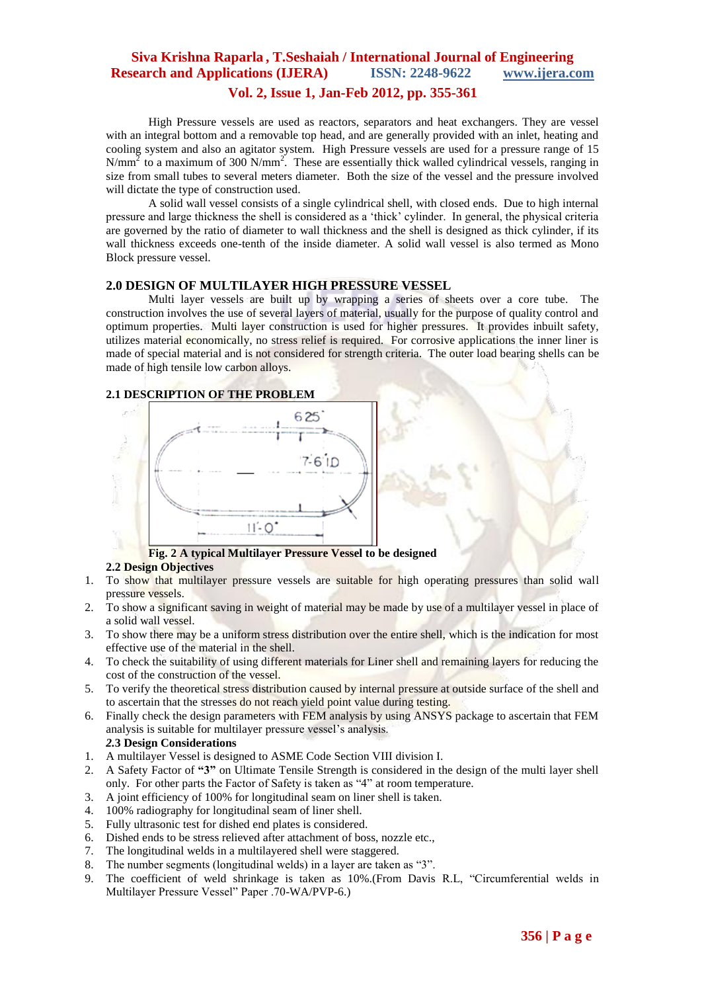# **Siva Krishna Raparla , T.Seshaiah / International Journal of Engineering Research and Applications (IJERA) ISSN: 2248-9622 www.ijera.com**

### **Vol. 2, Issue 1, Jan-Feb 2012, pp. 355-361**

High Pressure vessels are used as reactors, separators and heat exchangers. They are vessel with an integral bottom and a removable top head, and are generally provided with an inlet, heating and cooling system and also an agitator system. High Pressure vessels are used for a pressure range of 15  $N/mm<sup>2</sup>$  to a maximum of 300 N/mm<sup>2</sup>. These are essentially thick walled cylindrical vessels, ranging in size from small tubes to several meters diameter. Both the size of the vessel and the pressure involved will dictate the type of construction used.

A solid wall vessel consists of a single cylindrical shell, with closed ends. Due to high internal pressure and large thickness the shell is considered as a "thick" cylinder. In general, the physical criteria are governed by the ratio of diameter to wall thickness and the shell is designed as thick cylinder, if its wall thickness exceeds one-tenth of the inside diameter. A solid wall vessel is also termed as Mono Block pressure vessel.

#### **2.0 DESIGN OF MULTILAYER HIGH PRESSURE VESSEL**

Multi layer vessels are built up by wrapping a series of sheets over a core tube. The construction involves the use of several layers of material, usually for the purpose of quality control and optimum properties. Multi layer construction is used for higher pressures. It provides inbuilt safety, utilizes material economically, no stress relief is required. For corrosive applications the inner liner is made of special material and is not considered for strength criteria. The outer load bearing shells can be made of high tensile low carbon alloys.

### **2.1 DESCRIPTION OF THE PROBLEM**



## **Fig. 2 A typical Multilayer Pressure Vessel to be designed**

### **2.2 Design Objectives**

- 1. To show that multilayer pressure vessels are suitable for high operating pressures than solid wall pressure vessels.
- 2. To show a significant saving in weight of material may be made by use of a multilayer vessel in place of a solid wall vessel.
- 3. To show there may be a uniform stress distribution over the entire shell, which is the indication for most effective use of the material in the shell.
- 4. To check the suitability of using different materials for Liner shell and remaining layers for reducing the cost of the construction of the vessel.
- 5. To verify the theoretical stress distribution caused by internal pressure at outside surface of the shell and to ascertain that the stresses do not reach yield point value during testing.
- 6. Finally check the design parameters with FEM analysis by using ANSYS package to ascertain that FEM analysis is suitable for multilayer pressure vessel"s analysis.

## *2.***3 Design Considerations**

- 1. A multilayer Vessel is designed to ASME Code Section VIII division I.
- 2. A Safety Factor of **"3"** on Ultimate Tensile Strength is considered in the design of the multi layer shell only. For other parts the Factor of Safety is taken as "4" at room temperature.
- 3. A joint efficiency of 100% for longitudinal seam on liner shell is taken.
- 4. 100% radiography for longitudinal seam of liner shell.
- 5. Fully ultrasonic test for dished end plates is considered.
- 6. Dished ends to be stress relieved after attachment of boss, nozzle etc.,
- 7. The longitudinal welds in a multilayered shell were staggered.
- 8. The number segments (longitudinal welds) in a layer are taken as "3".
- 9. The coefficient of weld shrinkage is taken as 10%.(From Davis R.L, "Circumferential welds in Multilayer Pressure Vessel" Paper .70-WA/PVP-6.)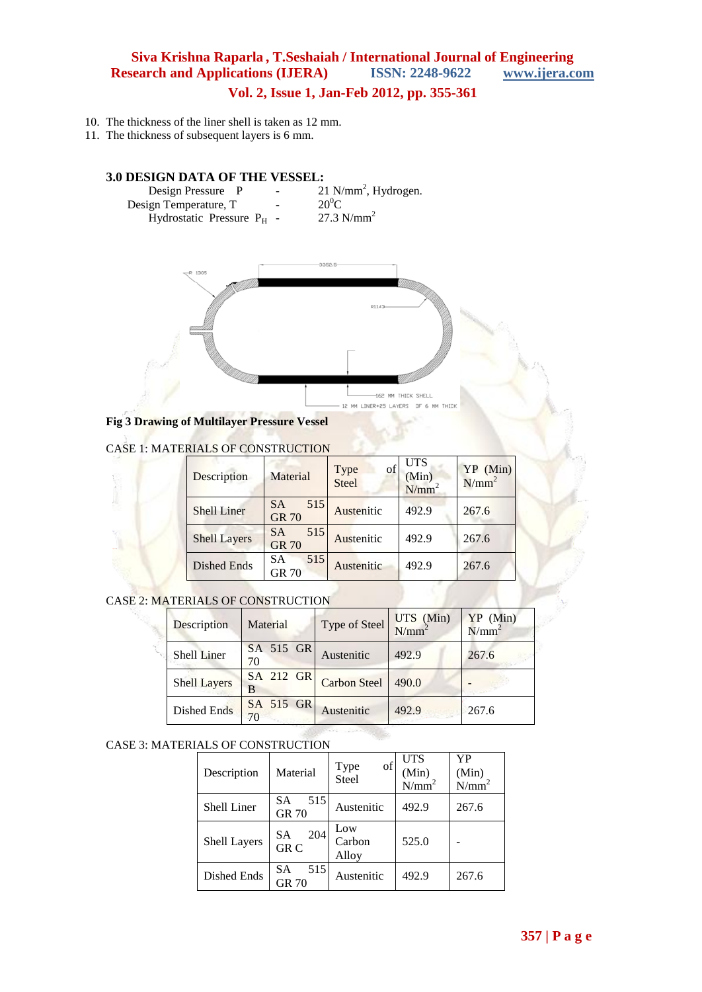## **Siva Krishna Raparla , T.Seshaiah / International Journal of Engineering Research and Applications (IJERA) ISSN: 2248-9622 www.ijera.com Vol. 2, Issue 1, Jan-Feb 2012, pp. 355-361**

10. The thickness of the liner shell is taken as 12 mm.

11. The thickness of subsequent layers is 6 mm.

## **3.0 DESIGN DATA OF THE VESSEL:**

| Design Pressure P            | $\overline{\phantom{a}}$ | $21$ N/mm <sup>2</sup> , Hydrogen. |
|------------------------------|--------------------------|------------------------------------|
| Design Temperature, T        | $\overline{\phantom{0}}$ | $20^0C$                            |
| Hydrostatic Pressure $P_H$ - |                          | 27.3 $N/mm^2$                      |



**Fig 3 Drawing of Multilayer Pressure Vessel**

#### CASE 1: MATERIALS OF CONSTRUCTION

| Description         | Material                         | of<br>Type<br>Steel | <b>UTS</b><br>(Min)<br>N/mm <sup>2</sup> | YP (Min)<br>$N/mm^2$ |
|---------------------|----------------------------------|---------------------|------------------------------------------|----------------------|
| <b>Shell Liner</b>  | 515<br><b>SA</b><br><b>GR 70</b> | Austenitic          | 492.9                                    | 267.6                |
| <b>Shell Layers</b> | 515<br><b>SA</b><br><b>GR 70</b> | Austenitic          | 492.9                                    | 267.6                |
| <b>Dished Ends</b>  | 515<br><b>SA</b><br><b>GR 70</b> | Austenitic          | 492.9                                    | 267.6                |

CASE 2: MATERIALS OF CONSTRUCTION

| Description         | Material        | Type of Steel       | $UTS$ (Min)<br>$N/mm^2$ | $YP$ (Min)<br>N/mm |
|---------------------|-----------------|---------------------|-------------------------|--------------------|
| Shell Liner         | SA 515 GR<br>70 | Austenitic          | 492.9                   | 267.6              |
| <b>Shell Layers</b> | SA 212 GR<br>В  | <b>Carbon Steel</b> | 490.0                   |                    |
| Dished Ends         | SA 515 GR<br>70 | Austenitic          | 492.9                   | 267.6              |

#### CASE 3: MATERIALS OF CONSTRUCTION

| Description  | Material                         | of<br>Type<br>Steel    | <b>UTS</b><br>(Min)<br>$N/mm^2$ | YP<br>(Min)<br>$N/mm^2$ |
|--------------|----------------------------------|------------------------|---------------------------------|-------------------------|
| Shell Liner  | 515<br>SА<br><b>GR 70</b>        | Austenitic             | 492.9                           | 267.6                   |
| Shell Layers | 204<br>SА<br>GR <sub>C</sub>     | Low<br>Carbon<br>Alloy | 525.0                           |                         |
| Dished Ends  | 515<br><b>SA</b><br><b>GR 70</b> | Austenitic             | 492.9                           | 267.6                   |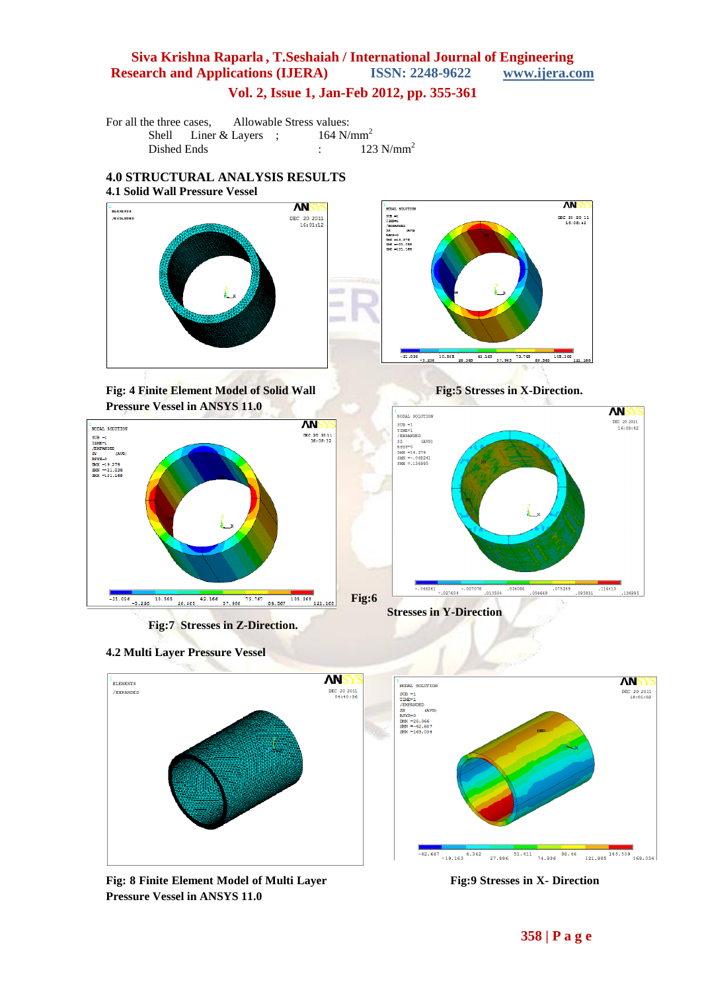# **Siva Krishna Raparla , T.Seshaiah / International Journal of Engineering Research and Applications (IJERA) ISSN: 2248-9622 www.ijera.com**

**Vol. 2, Issue 1, Jan-Feb 2012, pp. 355-361**

For all the three cases, Allowable Stress values:<br>Shell Liner & Layers : 164 N/mm<sup>2</sup> Shell Liner & Layers ; Dished Ends : 123  $N/mm<sup>2</sup>$ 

## **4.0 STRUCTURAL ANALYSIS RESULTS 4.1 Solid Wall Pressure Vessel**



**Fig: 4 Finite Element Model of Solid Wall Fig: 5 Stresses in X-Direction. Pressure Vessel in ANSYS 11.0** 



**Fig:7 Stresses in Z-Direction.**

**4.2 Multi Layer Pressure Vessel**









Fig: 8 Finite Element Model of Multi Layer Fig: 9 Stresses in X- Direction **Pressure Vessel in ANSYS 11.0**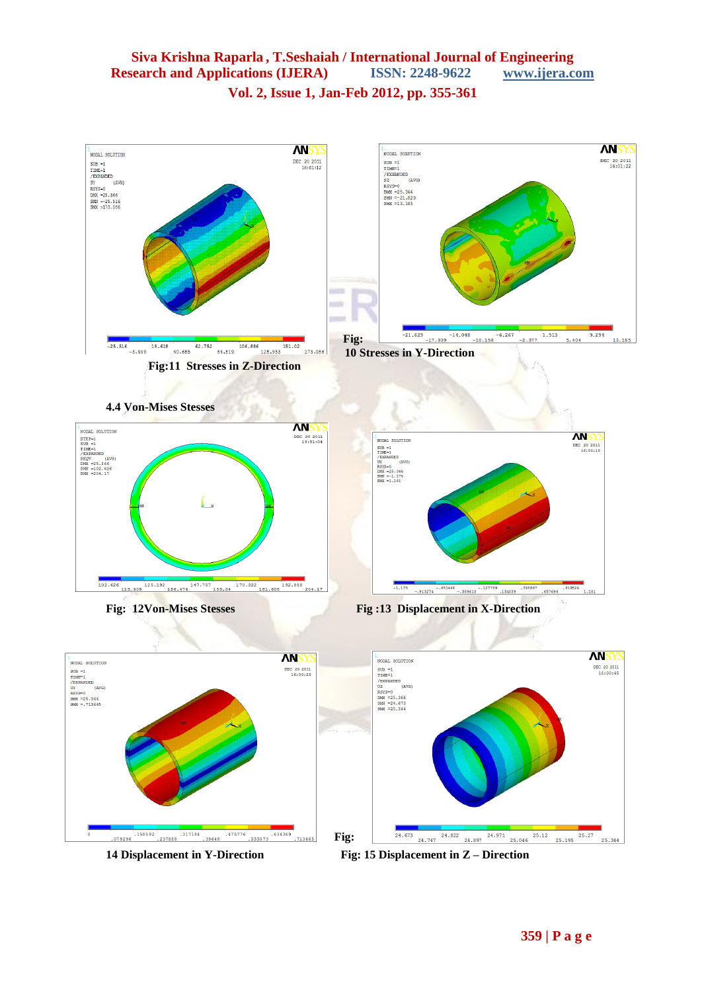## **Siva Krishna Raparla , T.Seshaiah / International Journal of Engineering Research and Applications (IJERA) ISSN: 2248-9622 www.ijera.com Vol. 2, Issue 1, Jan-Feb 2012, pp. 355-361**

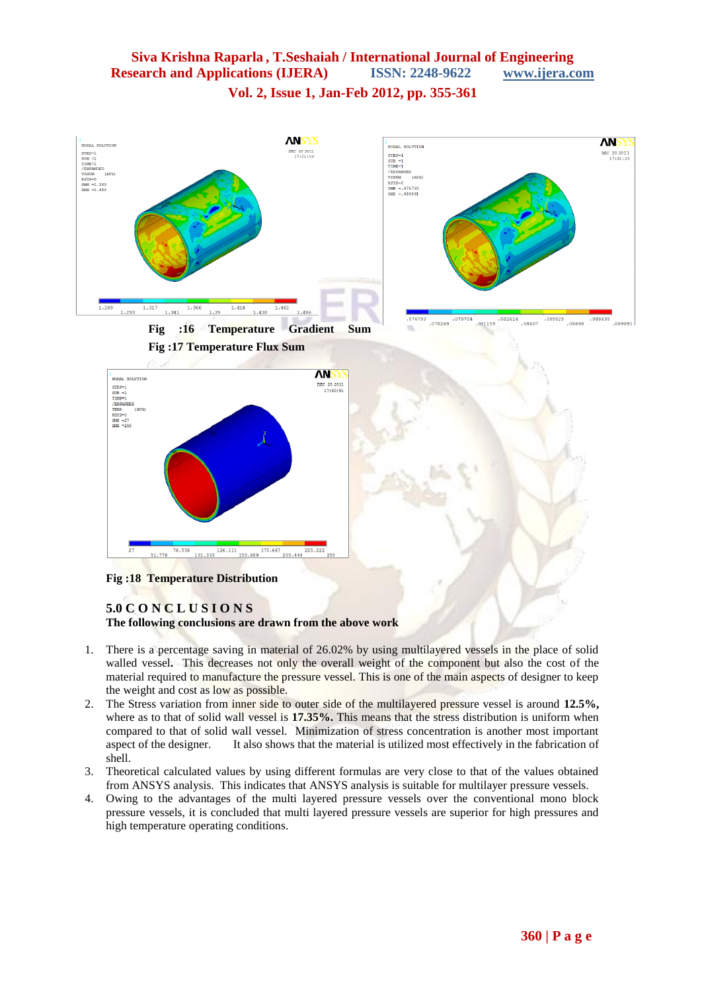## **Siva Krishna Raparla , T.Seshaiah / International Journal of Engineering Research and Applications (IJERA) ISSN: 2248-9622 www.ijera.com Vol. 2, Issue 1, Jan-Feb 2012, pp. 355-361**



### **5.0 C O N C L U S I O N S The following conclusions are drawn from the above work**

- 1. There is a percentage saving in material of 26.02% by using multilayered vessels in the place of solid walled vessel**.** This decreases not only the overall weight of the component but also the cost of the material required to manufacture the pressure vessel. This is one of the main aspects of designer to keep the weight and cost as low as possible.
- 2. The Stress variation from inner side to outer side of the multilayered pressure vessel is around **12.5%,** where as to that of solid wall vessel is **17.35%.** This means that the stress distribution is uniform when compared to that of solid wall vessel. Minimization of stress concentration is another most important aspect of the designer. It also shows that the material is utilized most effectively in the fabrication of shell.
- 3. Theoretical calculated values by using different formulas are very close to that of the values obtained from ANSYS analysis. This indicates that ANSYS analysis is suitable for multilayer pressure vessels.
- 4. Owing to the advantages of the multi layered pressure vessels over the conventional mono block pressure vessels, it is concluded that multi layered pressure vessels are superior for high pressures and high temperature operating conditions.